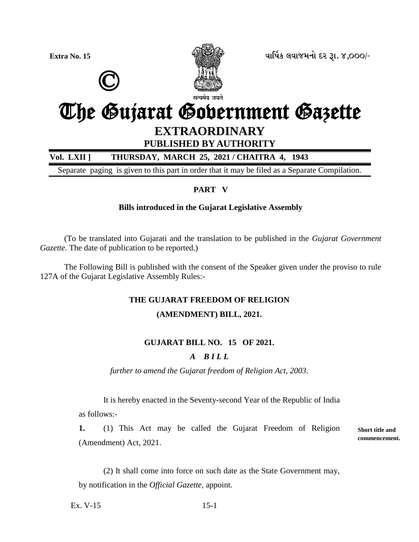

**Extra No. 15 äëìæýÀ áäëÉÜÞù Øß wë. 4,000/-**

# © The Gujarat Government Gazette **EXTRAORDINARY PUBLISHED BY AUTHORITY**

**Vol. LXII ] THURSDAY, MARCH 25, 2021 / CHAITRA 4, 1943**

Separate paging is given to this part in order that it may be filed as a Separate Compilation.

## **PART V**

## **Bills introduced in the Gujarat Legislative Assembly**

(To be translated into Gujarati and the translation to be published in the *Gujarat Government Gazette*. The date of publication to be reported.)

The Following Bill is published with the consent of the Speaker given under the proviso to rule 127A of the Gujarat Legislative Assembly Rules:-

## **THE GUJARAT FREEDOM OF RELIGION**

## **(AMENDMENT) BILL, 2021.**

# **GUJARAT BILL NO. 15 OF 2021.**

## *A B I L L*

*further to amend the Gujarat freedom of Religion Act, 2003.*

It is hereby enacted in the Seventy-second Year of the Republic of India as follows:-

**1.** (1) This Act may be called the Gujarat Freedom of Religion (Amendment) Act, 2021.

**Short title and commencement.**

(2) It shall come into force on such date as the State Government may, by notification in the *Official Gazette,* appoint.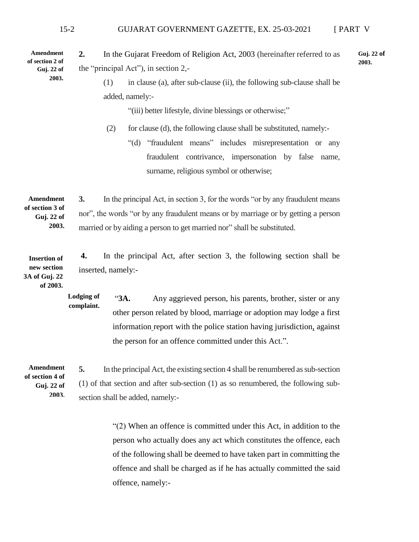#### 15-2 GUJARAT GOVERNMENT GAZETTE, EX. 25-03-2021 [ PART V

**2.** In the Gujarat Freedom of Religion Act, 2003 (hereinafter referred to as the "principal Act"), in section 2,- **Guj. 22 of Guj. 22 of 2003.**

> (1) in clause (a), after sub-clause (ii), the following sub-clause shall be added, namely:-

> > "(iii) better lifestyle, divine blessings or otherwise;"

(2) for clause (d), the following clause shall be substituted, namely:- "(d) "fraudulent means" includes misrepresentation or any

fraudulent contrivance, impersonation by false name, surname, religious symbol or otherwise;

**3.** In the principal Act, in section 3, for the words "or by any fraudulent means nor", the words "or by any fraudulent means or by marriage or by getting a person married or by aiding a person to get married nor" shall be substituted. **Amendment of section 3 of Guj. 22 of 2003.**

**4.** In the principal Act, after section 3, the following section shall be inserted, namely:- **Insertion of new section 3A of Guj. 22**

**of 2003.**

**Amendment of section 2 of** 

**2003.**

"**3A.** Any aggrieved person, his parents, brother, sister or any other person related by blood, marriage or adoption may lodge a first information report with the police station having jurisdiction, against the person for an offence committed under this Act.". **Lodging of complaint.** 

**Amendment of section 4 of Guj. 22 of 2003.** **5.** In the principal Act, the existing section 4 shall be renumbered as sub-section (1) of that section and after sub-section (1) as so renumbered, the following subsection shall be added, namely:-

> "(2) When an offence is committed under this Act, in addition to the person who actually does any act which constitutes the offence, each of the following shall be deemed to have taken part in committing the offence and shall be charged as if he has actually committed the said offence, namely:-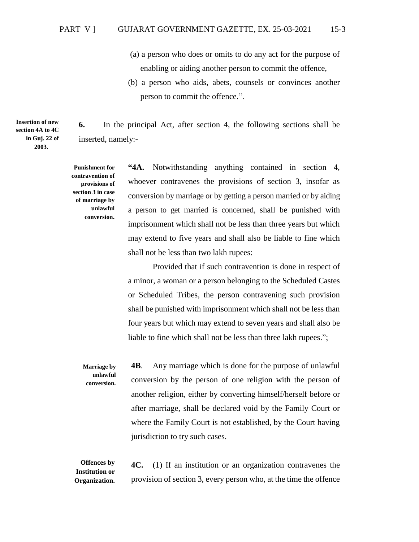- (a) a person who does or omits to do any act for the purpose of enabling or aiding another person to commit the offence,
- (b) a person who aids, abets, counsels or convinces another person to commit the offence.".

**6.** In the principal Act, after section 4, the following sections shall be inserted, namely:-

**Punishment for contravention of provisions of section 3 in case of marriage by unlawful conversion.**

**Insertion of new section 4A to 4C in Guj. 22 of 2003.**

> **"4A.** Notwithstanding anything contained in section 4, whoever contravenes the provisions of section 3, insofar as conversion by marriage or by getting a person married or by aiding a person to get married is concerned, shall be punished with imprisonment which shall not be less than three years but which may extend to five years and shall also be liable to fine which shall not be less than two lakh rupees:

Provided that if such contravention is done in respect of a minor, a woman or a person belonging to the Scheduled Castes or Scheduled Tribes, the person contravening such provision shall be punished with imprisonment which shall not be less than four years but which may extend to seven years and shall also be liable to fine which shall not be less than three lakh rupees.";

**4B**. Any marriage which is done for the purpose of unlawful conversion by the person of one religion with the person of another religion, either by converting himself/herself before or after marriage, shall be declared void by the Family Court or where the Family Court is not established, by the Court having jurisdiction to try such cases. **Marriage by unlawful conversion.**

**4C.** (1) If an institution or an organization contravenes the provision of section 3, every person who, at the time the offence **Offences by Institution or Organization.**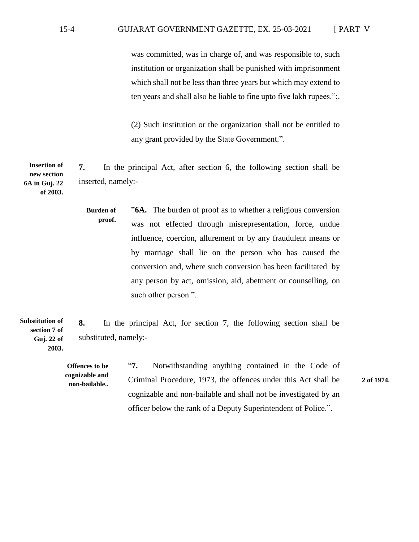was committed, was in charge of, and was responsible to, such institution or organization shall be punished with imprisonment which shall not be less than three years but which may extend to ten years and shall also be liable to fine upto five lakh rupees.";.

(2) Such institution or the organization shall not be entitled to any grant provided by the State Government.".

**7.** In the principal Act, after section 6, the following section shall be inserted, namely:- **Insertion of new section 6A in Guj. 22 of 2003.**

> "**6A.** The burden of proof as to whether a religious conversion was not effected through misrepresentation, force, undue influence, coercion, allurement or by any fraudulent means or by marriage shall lie on the person who has caused the conversion and, where such conversion has been facilitated by any person by act, omission, aid, abetment or counselling, on such other person.". **Burden of proof.**

**8.** In the principal Act, for section 7, the following section shall be substituted, namely:- **Substitution of section 7 of Guj. 22 of 2003.**

> **Offences to be cognizable and**

"**7.** Notwithstanding anything contained in the Code of Criminal Procedure, 1973, the offences under this Act shall be **non-bailable.. 2 of 1974.**cognizable and non-bailable and shall not be investigated by an officer below the rank of a Deputy Superintendent of Police.".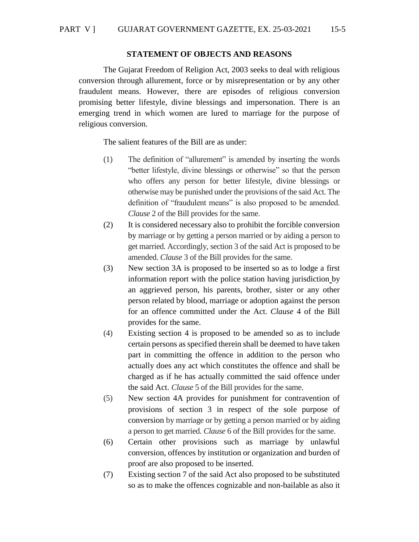#### **STATEMENT OF OBJECTS AND REASONS**

The Gujarat Freedom of Religion Act, 2003 seeks to deal with religious conversion through allurement, force or by misrepresentation or by any other fraudulent means. However, there are episodes of religious conversion promising better lifestyle, divine blessings and impersonation. There is an emerging trend in which women are lured to marriage for the purpose of religious conversion.

The salient features of the Bill are as under:

- (1) The definition of "allurement" is amended by inserting the words "better lifestyle, divine blessings or otherwise" so that the person who offers any person for better lifestyle, divine blessings or otherwise may be punished under the provisions of the said Act. The definition of "fraudulent means" is also proposed to be amended. *Clause* 2 of the Bill provides for the same.
- (2) It is considered necessary also to prohibit the forcible conversion by marriage or by getting a person married or by aiding a person to get married. Accordingly, section 3 of the said Act is proposed to be amended. *Clause* 3 of the Bill provides for the same.
- (3) New section 3A is proposed to be inserted so as to lodge a first information report with the police station having jurisdiction by an aggrieved person, his parents, brother, sister or any other person related by blood, marriage or adoption against the person for an offence committed under the Act. *Clause* 4 of the Bill provides for the same.
- (4) Existing section 4 is proposed to be amended so as to include certain persons as specified therein shall be deemed to have taken part in committing the offence in addition to the person who actually does any act which constitutes the offence and shall be charged as if he has actually committed the said offence under the said Act. *Clause* 5 of the Bill provides for the same.
- (5) New section 4A provides for punishment for contravention of provisions of section 3 in respect of the sole purpose of conversion by marriage or by getting a person married or by aiding a person to get married. *Clause* 6 of the Bill provides for the same.
- (6) Certain other provisions such as marriage by unlawful conversion, offences by institution or organization and burden of proof are also proposed to be inserted.
- (7) Existing section 7 of the said Act also proposed to be substituted so as to make the offences cognizable and non-bailable as also it